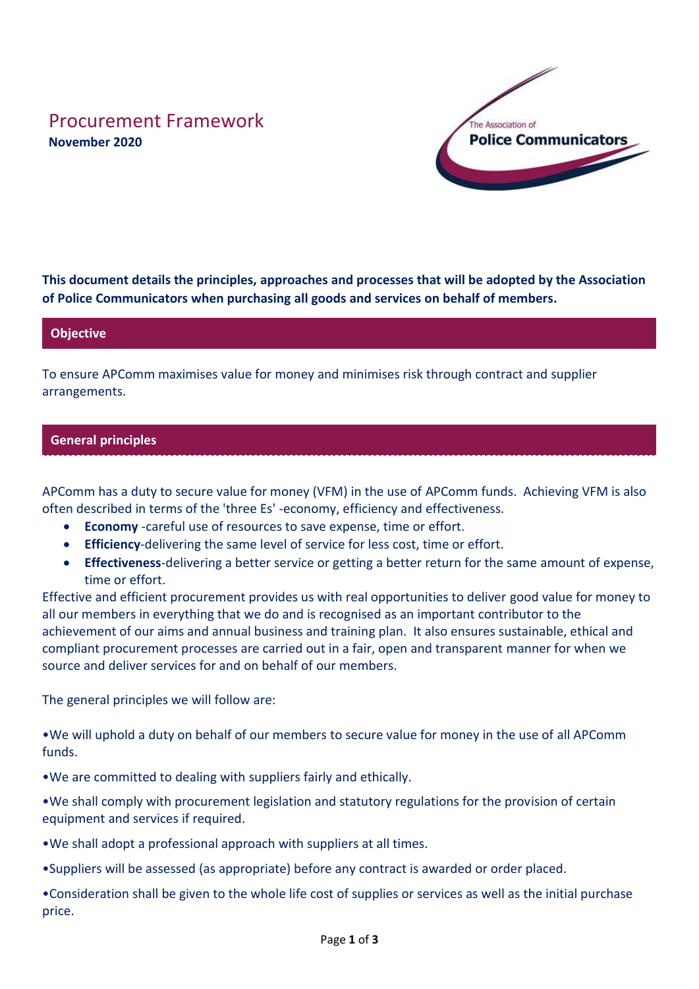# Procurement Framework **November 2020**



**This document details the principles, approaches and processes that will be adopted by the Association of Police Communicators when purchasing all goods and services on behalf of members.**

## **Objective**

To ensure APComm maximises value for money and minimises risk through contract and supplier arrangements.

## **General principles**

APComm has a duty to secure value for money (VFM) in the use of APComm funds. Achieving VFM is also often described in terms of the 'three Es' -economy, efficiency and effectiveness.

- **Economy** -careful use of resources to save expense, time or effort.
- **Efficiency**-delivering the same level of service for less cost, time or effort.
- **Effectiveness**-delivering a better service or getting a better return for the same amount of expense, time or effort.

Effective and efficient procurement provides us with real opportunities to deliver good value for money to all our members in everything that we do and is recognised as an important contributor to the achievement of our aims and annual business and training plan. It also ensures sustainable, ethical and compliant procurement processes are carried out in a fair, open and transparent manner for when we source and deliver services for and on behalf of our members.

The general principles we will follow are:

•We will uphold a duty on behalf of our members to secure value for money in the use of all APComm funds.

•We are committed to dealing with suppliers fairly and ethically.

•We shall comply with procurement legislation and statutory regulations for the provision of certain equipment and services if required.

•We shall adopt a professional approach with suppliers at all times.

•Suppliers will be assessed (as appropriate) before any contract is awarded or order placed.

•Consideration shall be given to the whole life cost of supplies or services as well as the initial purchase price.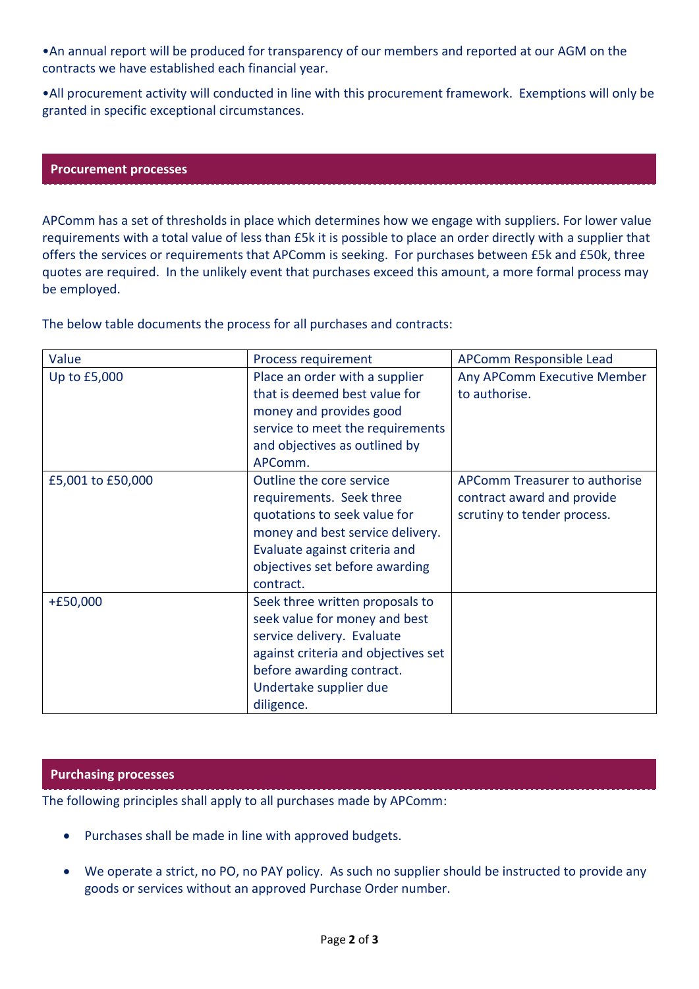•An annual report will be produced for transparency of our members and reported at our AGM on the contracts we have established each financial year.

•All procurement activity will conducted in line with this procurement framework. Exemptions will only be granted in specific exceptional circumstances.

### **Procurement processes**

APComm has a set of thresholds in place which determines how we engage with suppliers. For lower value requirements with a total value of less than £5k it is possible to place an order directly with a supplier that offers the services or requirements that APComm is seeking. For purchases between £5k and £50k, three quotes are required. In the unlikely event that purchases exceed this amount, a more formal process may be employed.

The below table documents the process for all purchases and contracts:

| Value             | Process requirement                 | APComm Responsible Lead              |
|-------------------|-------------------------------------|--------------------------------------|
| Up to £5,000      | Place an order with a supplier      | Any APComm Executive Member          |
|                   | that is deemed best value for       | to authorise.                        |
|                   | money and provides good             |                                      |
|                   | service to meet the requirements    |                                      |
|                   | and objectives as outlined by       |                                      |
|                   | APComm.                             |                                      |
| £5,001 to £50,000 | Outline the core service            | <b>APComm Treasurer to authorise</b> |
|                   | requirements. Seek three            | contract award and provide           |
|                   | quotations to seek value for        | scrutiny to tender process.          |
|                   | money and best service delivery.    |                                      |
|                   | Evaluate against criteria and       |                                      |
|                   | objectives set before awarding      |                                      |
|                   | contract.                           |                                      |
| +£50,000          | Seek three written proposals to     |                                      |
|                   | seek value for money and best       |                                      |
|                   | service delivery. Evaluate          |                                      |
|                   | against criteria and objectives set |                                      |
|                   | before awarding contract.           |                                      |
|                   | Undertake supplier due              |                                      |
|                   | diligence.                          |                                      |

## **Purchasing processes**

The following principles shall apply to all purchases made by APComm:

- Purchases shall be made in line with approved budgets.
- We operate a strict, no PO, no PAY policy. As such no supplier should be instructed to provide any goods or services without an approved Purchase Order number.